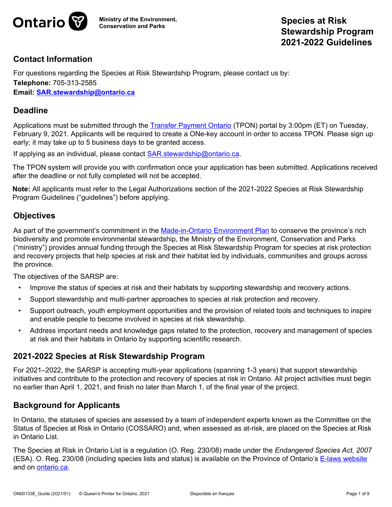

# **Contact Information**

For questions regarding the Species at Risk Stewardship Program, please contact us by: **Telephone:** 705-313-2585 **Email: [SAR.stewardship@ontario.ca](mailto:SAR.stewardship@ontario.ca)**

#### **Deadline**

Applications must be submitted through the [Transfer Payment Ontario](https://www.ontario.ca/page/get-funding-ontario-government) (TPON) portal by 3:00pm (ET) on Tuesday, February 9, 2021. Applicants will be required to create a ONe-key account in order to access TPON. Please sign up early; it may take up to 5 business days to be granted access.

If applying as an individual, please contact [SAR.stewardship@ontario.ca.](mailto:SAR.stewardship@ontario.ca)

The TPON system will provide you with confirmation once your application has been submitted. Applications received after the deadline or not fully completed will not be accepted.

**Note:** All applicants must refer to the Legal Authorizations section of the 2021-2022 Species at Risk Stewardship Program Guidelines ("guidelines") before applying.

# **Objectives**

As part of the government's commitment in the [Made-in-Ontario Environment Plan](https://www.ontario.ca/page/made-in-ontario-environment-plan) to conserve the province's rich biodiversity and promote environmental stewardship, the Ministry of the Environment, Conservation and Parks ("ministry") provides annual funding through the Species at Risk Stewardship Program for species at risk protection and recovery projects that help species at risk and their habitat led by individuals, communities and groups across the province.

The objectives of the SARSP are:

- Improve the status of species at risk and their habitats by supporting stewardship and recovery actions.
- Support stewardship and multi-partner approaches to species at risk protection and recovery.
- Support outreach, youth employment opportunities and the provision of related tools and techniques to inspire and enable people to become involved in species at risk stewardship.
- Address important needs and knowledge gaps related to the protection, recovery and management of species at risk and their habitats in Ontario by supporting scientific research.

# **2021-2022 Species at Risk Stewardship Program**

For 2021–2022, the SARSP is accepting multi-year applications (spanning 1-3 years) that support stewardship initiatives and contribute to the protection and recovery of species at risk in Ontario. All project activities must begin no earlier than April 1, 2021, and finish no later than March 1, of the final year of the project.

# **Background for Applicants**

In Ontario, the statuses of species are assessed by a team of independent experts known as the Committee on the Status of Species at Risk in Ontario (COSSARO) and, when assessed as at-risk, are placed on the Species at Risk in Ontario List.

The Species at Risk in Ontario List is a regulation (O. Reg. 230/08) made under the *Endangered Species Act, 2007* (ESA). O. Reg. 230/08 (including species lists and status) is available on the Province of Ontario's [E-laws website](https://www.ontario.ca/Laws) and on [ontario.ca.](https://www.ontario.ca/page/species-risk-ontario)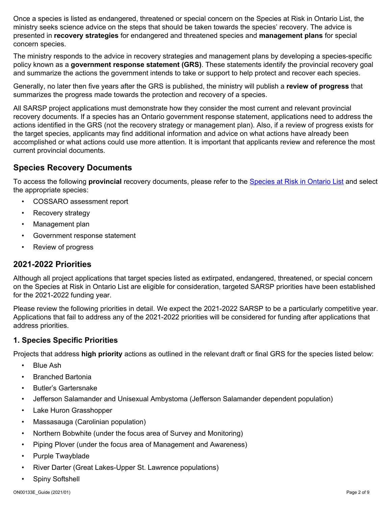Once a species is listed as endangered, threatened or special concern on the Species at Risk in Ontario List, the ministry seeks science advice on the steps that should be taken towards the species' recovery. The advice is presented in **recovery strategies** for endangered and threatened species and **management plans** for special concern species.

The ministry responds to the advice in recovery strategies and management plans by developing a species-specific policy known as a **government response statement (GRS)**. These statements identify the provincial recovery goal and summarize the actions the government intends to take or support to help protect and recover each species.

Generally, no later then five years after the GRS is published, the ministry will publish a **review of progress** that summarizes the progress made towards the protection and recovery of a species.

All SARSP project applications must demonstrate how they consider the most current and relevant provincial recovery documents. If a species has an Ontario government response statement, applications need to address the actions identified in the GRS (not the recovery strategy or management plan). Also, if a review of progress exists for the target species, applicants may find additional information and advice on what actions have already been accomplished or what actions could use more attention. It is important that applicants review and reference the most current provincial documents.

# **Species Recovery Documents**

To access the following **provincial** recovery documents, please refer to the [Species at Risk in Ontario List](https://www.ontario.ca/page/species-risk-ontario) and select the appropriate species:

- COSSARO assessment report
- Recovery strategy
- Management plan
- Government response statement
- Review of progress

# **2021-2022 Priorities**

Although all project applications that target species listed as extirpated, endangered, threatened, or special concern on the Species at Risk in Ontario List are eligible for consideration, targeted SARSP priorities have been established for the 2021-2022 funding year.

Please review the following priorities in detail. We expect the 2021-2022 SARSP to be a particularly competitive year. Applications that fail to address any of the 2021-2022 priorities will be considered for funding after applications that address priorities.

#### **1. Species Specific Priorities**

Projects that address **high priority** actions as outlined in the relevant draft or final GRS for the species listed below:

- Blue Ash
- Branched Bartonia
- Butler's Gartersnake
- Jefferson Salamander and Unisexual Ambystoma (Jefferson Salamander dependent population)
- Lake Huron Grasshopper
- Massasauga (Carolinian population)
- Northern Bobwhite (under the focus area of Survey and Monitoring)
- Piping Plover (under the focus area of Management and Awareness)
- Purple Twayblade
- River Darter (Great Lakes-Upper St. Lawrence populations)
- Spiny Softshell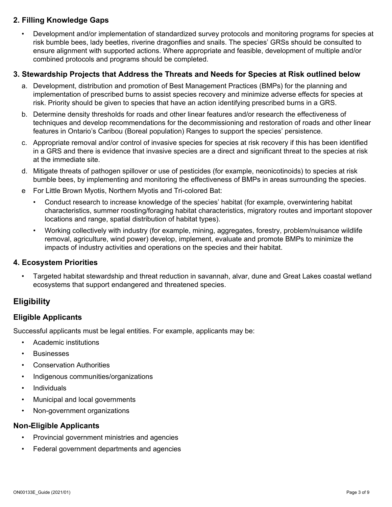# **2. Filling Knowledge Gaps**

• Development and/or implementation of standardized survey protocols and monitoring programs for species at risk bumble bees, lady beetles, riverine dragonflies and snails. The species' GRSs should be consulted to ensure alignment with supported actions. Where appropriate and feasible, development of multiple and/or combined protocols and programs should be completed.

#### **3. Stewardship Projects that Address the Threats and Needs for Species at Risk outlined below**

- a. Development, distribution and promotion of Best Management Practices (BMPs) for the planning and implementation of prescribed burns to assist species recovery and minimize adverse effects for species at risk. Priority should be given to species that have an action identifying prescribed burns in a GRS.
- b. Determine density thresholds for roads and other linear features and/or research the effectiveness of techniques and develop recommendations for the decommissioning and restoration of roads and other linear features in Ontario's Caribou (Boreal population) Ranges to support the species' persistence.
- c. Appropriate removal and/or control of invasive species for species at risk recovery if this has been identified in a GRS and there is evidence that invasive species are a direct and significant threat to the species at risk at the immediate site.
- d. Mitigate threats of pathogen spillover or use of pesticides (for example, neonicotinoids) to species at risk bumble bees, by implementing and monitoring the effectiveness of BMPs in areas surrounding the species.
- e For Little Brown Myotis, Northern Myotis and Tri-colored Bat:
	- Conduct research to increase knowledge of the species' habitat (for example, overwintering habitat characteristics, summer roosting/foraging habitat characteristics, migratory routes and important stopover locations and range, spatial distribution of habitat types).
	- Working collectively with industry (for example, mining, aggregates, forestry, problem/nuisance wildlife removal, agriculture, wind power) develop, implement, evaluate and promote BMPs to minimize the impacts of industry activities and operations on the species and their habitat.

#### **4. Ecosystem Priorities**

• Targeted habitat stewardship and threat reduction in savannah, alvar, dune and Great Lakes coastal wetland ecosystems that support endangered and threatened species.

# **Eligibility**

# **Eligible Applicants**

Successful applicants must be legal entities. For example, applicants may be:

- Academic institutions
- **Businesses**
- Conservation Authorities
- Indigenous communities/organizations
- Individuals
- Municipal and local governments
- Non-government organizations

#### **Non-Eligible Applicants**

- Provincial government ministries and agencies
- Federal government departments and agencies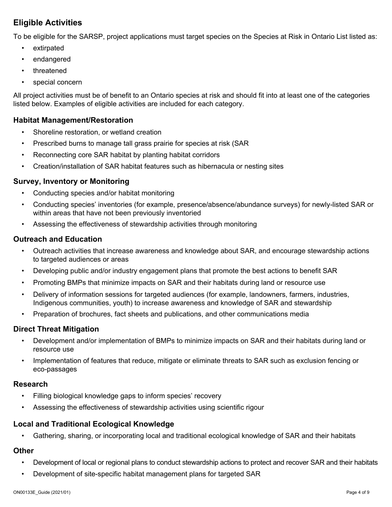# **Eligible Activities**

To be eligible for the SARSP, project applications must target species on the Species at Risk in Ontario List listed as:

- extirpated
- endangered
- threatened
- special concern

All project activities must be of benefit to an Ontario species at risk and should fit into at least one of the categories listed below. Examples of eligible activities are included for each category.

#### **Habitat Management/Restoration**

- Shoreline restoration, or wetland creation
- Prescribed burns to manage tall grass prairie for species at risk (SAR
- Reconnecting core SAR habitat by planting habitat corridors
- Creation/installation of SAR habitat features such as hibernacula or nesting sites

#### **Survey, Inventory or Monitoring**

- Conducting species and/or habitat monitoring
- Conducting species' inventories (for example, presence/absence/abundance surveys) for newly-listed SAR or within areas that have not been previously inventoried
- Assessing the effectiveness of stewardship activities through monitoring

#### **Outreach and Education**

- Outreach activities that increase awareness and knowledge about SAR, and encourage stewardship actions to targeted audiences or areas
- Developing public and/or industry engagement plans that promote the best actions to benefit SAR
- Promoting BMPs that minimize impacts on SAR and their habitats during land or resource use
- Delivery of information sessions for targeted audiences (for example, landowners, farmers, industries, Indigenous communities, youth) to increase awareness and knowledge of SAR and stewardship
- Preparation of brochures, fact sheets and publications, and other communications media

#### **Direct Threat Mitigation**

- Development and/or implementation of BMPs to minimize impacts on SAR and their habitats during land or resource use
- Implementation of features that reduce, mitigate or eliminate threats to SAR such as exclusion fencing or eco-passages

#### **Research**

- Filling biological knowledge gaps to inform species' recovery
- Assessing the effectiveness of stewardship activities using scientific rigour

#### **Local and Traditional Ecological Knowledge**

• Gathering, sharing, or incorporating local and traditional ecological knowledge of SAR and their habitats

#### **Other**

- Development of local or regional plans to conduct stewardship actions to protect and recover SAR and their habitats
- Development of site-specific habitat management plans for targeted SAR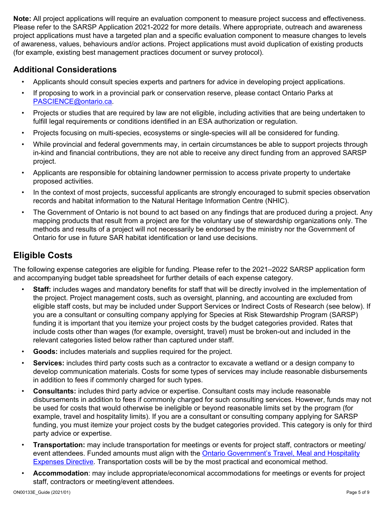**Note:** All project applications will require an evaluation component to measure project success and effectiveness. Please refer to the SARSP Application 2021-2022 for more details. Where appropriate, outreach and awareness project applications must have a targeted plan and a specific evaluation component to measure changes to levels of awareness, values, behaviours and/or actions. Project applications must avoid duplication of existing products (for example, existing best management practices document or survey protocol).

# **Additional Considerations**

- Applicants should consult species experts and partners for advice in developing project applications.
- If proposing to work in a provincial park or conservation reserve, please contact Ontario Parks at [PASCIENCE@ontario.ca.](mailto:PASCIENCE@ontario.ca)
- Projects or studies that are required by law are not eligible, including activities that are being undertaken to fulfill legal requirements or conditions identified in an ESA authorization or regulation.
- Projects focusing on multi-species, ecosystems or single-species will all be considered for funding.
- While provincial and federal governments may, in certain circumstances be able to support projects through in-kind and financial contributions, they are not able to receive any direct funding from an approved SARSP project.
- Applicants are responsible for obtaining landowner permission to access private property to undertake proposed activities.
- In the context of most projects, successful applicants are strongly encouraged to submit species observation records and habitat information to the Natural Heritage Information Centre (NHIC).
- The Government of Ontario is not bound to act based on any findings that are produced during a project. Any mapping products that result from a project are for the voluntary use of stewardship organizations only. The methods and results of a project will not necessarily be endorsed by the ministry nor the Government of Ontario for use in future SAR habitat identification or land use decisions.

# **Eligible Costs**

The following expense categories are eligible for funding. Please refer to the 2021–2022 SARSP application form and accompanying budget table spreadsheet for further details of each expense category.

- **Staff:** includes wages and mandatory benefits for staff that will be directly involved in the implementation of the project. Project management costs, such as oversight, planning, and accounting are excluded from eligible staff costs, but may be included under Support Services or Indirect Costs of Research (see below). If you are a consultant or consulting company applying for Species at Risk Stewardship Program (SARSP) funding it is important that you itemize your project costs by the budget categories provided. Rates that include costs other than wages (for example, oversight, travel) must be broken-out and included in the relevant categories listed below rather than captured under staff.
- **Goods:** includes materials and supplies required for the project.
- **Services:** includes third party costs such as a contractor to excavate a wetland or a design company to develop communication materials. Costs for some types of services may include reasonable disbursements in addition to fees if commonly charged for such types.
- **Consultants:** includes third party advice or expertise. Consultant costs may include reasonable disbursements in addition to fees if commonly charged for such consulting services. However, funds may not be used for costs that would otherwise be ineligible or beyond reasonable limits set by the program (for example, travel and hospitality limits). If you are a consultant or consulting company applying for SARSP funding, you must itemize your project costs by the budget categories provided. This category is only for third party advice or expertise.
- **Transportation:** may include transportation for meetings or events for project staff, contractors or meeting/ event attendees. Funded amounts must align with the [Ontario Government's Travel, Meal and Hospitality](https://www.ontario.ca/page/travel-meal-and-hospitality-expenses-directive-2020)  [Expenses Directive.](https://www.ontario.ca/page/travel-meal-and-hospitality-expenses-directive-2020) Transportation costs will be by the most practical and economical method.
- **Accommodation**: may include appropriate/economical accommodations for meetings or events for project staff, contractors or meeting/event attendees.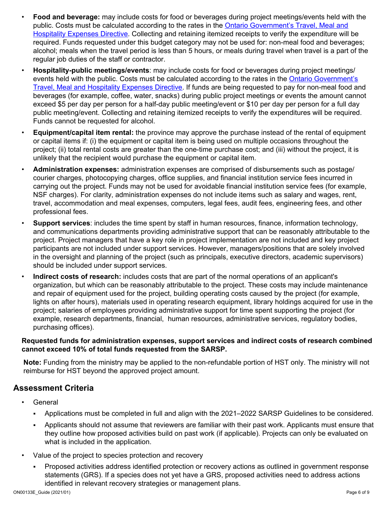- **Food and beverage:** may include costs for food or beverages during project meetings/events held with the public. Costs must be calculated according to the rates in the Ontario Government's Travel, Meal and [Hospitality Expenses Directive.](https://www.ontario.ca/page/travel-meal-and-hospitality-expenses-directive-2020) Collecting and retaining itemized receipts to verify the expenditure will be required. Funds requested under this budget category may not be used for: non-meal food and beverages; alcohol; meals when the travel period is less than 5 hours, or meals during travel when travel is a part of the regular job duties of the staff or contractor.
- **Hospitality-public meetings/events**: may include costs for food or beverages during project meetings/ events held with the public. Costs must be calculated according to the rates in the Ontario Government's [Travel, Meal and Hospitality Expenses Directive.](https://www.ontario.ca/page/travel-meal-and-hospitality-expenses-directive-2020) If funds are being requested to pay for non-meal food and beverages (for example, coffee, water, snacks) during public project meetings or events the amount cannot exceed \$5 per day per person for a half-day public meeting/event or \$10 per day per person for a full day public meeting/event. Collecting and retaining itemized receipts to verify the expenditures will be required. Funds cannot be requested for alcohol.
- **Equipment/capital item rental:** the province may approve the purchase instead of the rental of equipment or capital items if: (i) the equipment or capital item is being used on multiple occasions throughout the project; (ii) total rental costs are greater than the one-time purchase cost; and (iii) without the project, it is unlikely that the recipient would purchase the equipment or capital item.
- **Administration expenses:** administration expenses are comprised of disbursements such as postage/ courier charges, photocopying charges, office supplies, and financial institution service fees incurred in carrying out the project. Funds may not be used for avoidable financial institution service fees (for example, NSF charges). For clarity, administration expenses do not include items such as salary and wages, rent, travel, accommodation and meal expenses, computers, legal fees, audit fees, engineering fees, and other professional fees.
- **Support services**: includes the time spent by staff in human resources, finance, information technology, and communications departments providing administrative support that can be reasonably attributable to the project. Project managers that have a key role in project implementation are not included and key project participants are not included under support services. However, managers/positions that are solely involved in the oversight and planning of the project (such as principals, executive directors, academic supervisors) should be included under support services.
- **Indirect costs of research:** includes costs that are part of the normal operations of an applicant's organization, but which can be reasonably attributable to the project. These costs may include maintenance and repair of equipment used for the project, building operating costs caused by the project (for example, lights on after hours), materials used in operating research equipment, library holdings acquired for use in the project; salaries of employees providing administrative support for time spent supporting the project (for example, research departments, financial, human resources, administrative services, regulatory bodies, purchasing offices).

#### **Requested funds for administration expenses, support services and indirect costs of research combined cannot exceed 10% of total funds requested from the SARSP.**

**Note:** Funding from the ministry may be applied to the non-refundable portion of HST only. The ministry will not reimburse for HST beyond the approved project amount.

# **Assessment Criteria**

- **General** 
	- Applications must be completed in full and align with the 2021–2022 SARSP Guidelines to be considered.
	- Applicants should not assume that reviewers are familiar with their past work. Applicants must ensure that they outline how proposed activities build on past work (if applicable). Projects can only be evaluated on what is included in the application.
- Value of the project to species protection and recovery
	- Proposed activities address identified protection or recovery actions as outlined in government response statements (GRS). If a species does not yet have a GRS, proposed activities need to address actions identified in relevant recovery strategies or management plans.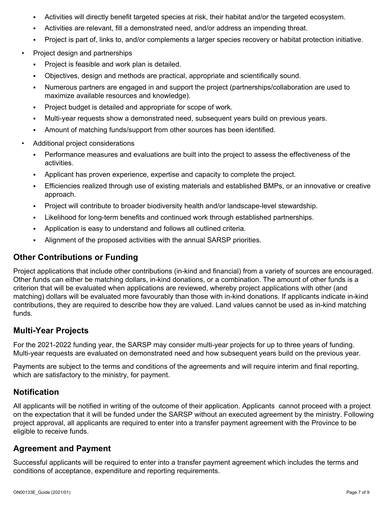- Activities will directly benefit targeted species at risk, their habitat and/or the targeted ecosystem.
- Activities are relevant, fill a demonstrated need, and/or address an impending threat.
- Project is part of, links to, and/or complements a larger species recovery or habitat protection initiative.
- Project design and partnerships
	- Project is feasible and work plan is detailed.
	- Objectives, design and methods are practical, appropriate and scientifically sound.
	- Numerous partners are engaged in and support the project (partnerships/collaboration are used to maximize available resources and knowledge).
	- Project budget is detailed and appropriate for scope of work.
	- Multi-year requests show a demonstrated need, subsequent years build on previous years.
	- Amount of matching funds/support from other sources has been identified.
- Additional project considerations
	- Performance measures and evaluations are built into the project to assess the effectiveness of the activities.
	- Applicant has proven experience, expertise and capacity to complete the project.
	- Efficiencies realized through use of existing materials and established BMPs, or an innovative or creative approach.
	- Project will contribute to broader biodiversity health and/or landscape-level stewardship.
	- Likelihood for long-term benefits and continued work through established partnerships.
	- Application is easy to understand and follows all outlined criteria.
	- Alignment of the proposed activities with the annual SARSP priorities.

# **Other Contributions or Funding**

Project applications that include other contributions (in-kind and financial) from a variety of sources are encouraged. Other funds can either be matching dollars, in-kind donations, or a combination. The amount of other funds is a criterion that will be evaluated when applications are reviewed, whereby project applications with other (and matching) dollars will be evaluated more favourably than those with in-kind donations. If applicants indicate in-kind contributions, they are required to describe how they are valued. Land values cannot be used as in-kind matching funds.

# **Multi-Year Projects**

For the 2021-2022 funding year, the SARSP may consider multi-year projects for up to three years of funding. Multi-year requests are evaluated on demonstrated need and how subsequent years build on the previous year.

Payments are subject to the terms and conditions of the agreements and will require interim and final reporting, which are satisfactory to the ministry, for payment.

# **Notification**

All applicants will be notified in writing of the outcome of their application. Applicants cannot proceed with a project on the expectation that it will be funded under the SARSP without an executed agreement by the ministry. Following project approval, all applicants are required to enter into a transfer payment agreement with the Province to be eligible to receive funds.

# **Agreement and Payment**

Successful applicants will be required to enter into a transfer payment agreement which includes the terms and conditions of acceptance, expenditure and reporting requirements.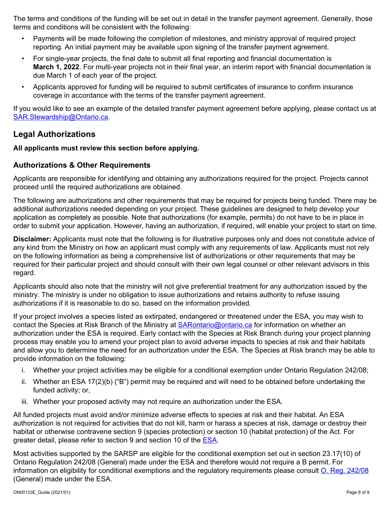The terms and conditions of the funding will be set out in detail in the transfer payment agreement. Generally, those terms and conditions will be consistent with the following:

- Payments will be made following the completion of milestones, and ministry approval of required project reporting. An initial payment may be available upon signing of the transfer payment agreement.
- For single-year projects, the final date to submit all final reporting and financial documentation is **March 1, 2022**. For multi-year projects not in their final year, an interim report with financial documentation is due March 1 of each year of the project.
- Applicants approved for funding will be required to submit certificates of insurance to confirm insurance coverage in accordance with the terms of the transfer payment agreement.

If you would like to see an example of the detailed transfer payment agreement before applying, please contact us at [SAR.Stewardship@Ontario.ca.](mailto:SAR.Stewardship@Ontario.ca)

# **Legal Authorizations**

#### **All applicants must review this section before applying.**

#### **Authorizations & Other Requirements**

Applicants are responsible for identifying and obtaining any authorizations required for the project. Projects cannot proceed until the required authorizations are obtained.

The following are authorizations and other requirements that may be required for projects being funded. There may be additional authorizations needed depending on your project. These guidelines are designed to help develop your application as completely as possible. Note that authorizations (for example, permits) do not have to be in place in order to submit your application. However, having an authorization, if required, will enable your project to start on time.

**Disclaimer:** Applicants must note that the following is for illustrative purposes only and does not constitute advice of any kind from the Ministry on how an applicant must comply with any requirements of law. Applicants must not rely on the following information as being a comprehensive list of authorizations or other requirements that may be required for their particular project and should consult with their own legal counsel or other relevant advisors in this regard.

Applicants should also note that the ministry will not give preferential treatment for any authorization issued by the ministry. The ministry is under no obligation to issue authorizations and retains authority to refuse issuing authorizations if it is reasonable to do so, based on the information provided.

If your project involves a species listed as extirpated, endangered or threatened under the ESA, you may wish to contact the Species at Risk Branch of the Ministry at [SARontario@ontario.ca](mailto:SARontario@ontario.ca) for information on whether an authorization under the ESA is required. Early contact with the Species at Risk Branch during your project planning process may enable you to amend your project plan to avoid adverse impacts to species at risk and their habitats and allow you to determine the need for an authorization under the ESA. The Species at Risk branch may be able to provide information on the following:

- i. Whether your project activities may be eligible for a conditional exemption under Ontario Regulation 242/08;
- ii. Whether an ESA 17(2)(b) ("B") permit may be required and will need to be obtained before undertaking the funded activity; or,
- iii. Whether your proposed activity may not require an authorization under the ESA.

All funded projects must avoid and/or minimize adverse effects to species at risk and their habitat. An ESA authorization is not required for activities that do not kill, harm or harass a species at risk, damage or destroy their habitat or otherwise contravene section 9 (species protection) or section 10 (habitat protection) of the Act. For greater detail, please refer to section 9 and section 10 of the [ESA.](https://www.ontario.ca/laws/statute/07e06)

Most activities supported by the SARSP are eligible for the conditional exemption set out in section 23.17(10) of Ontario Regulation 242/08 (General) made under the ESA and therefore would not require a B permit. For information on eligibility for conditional exemptions and the regulatory requirements please consult [O. Reg. 242/08](https://www.ontario.ca/laws/regulation/080242) (General) made under the ESA.